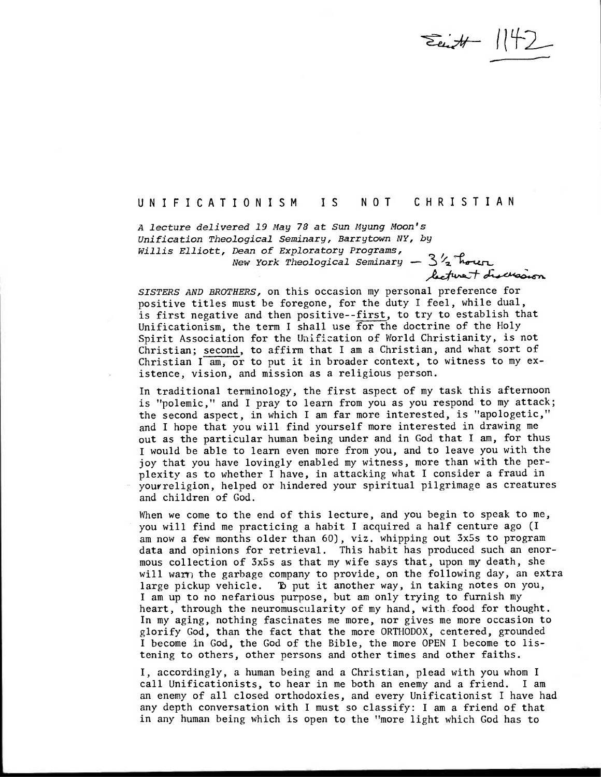$\sum_{i}H - 142$ 

## UNIFICATIONISM IS NOT CHRISTIAN

A lecture delivered 19 May 78 at Sun Myung Moon's Unification Theological Seminary, Barrytown NY, by Willis Elliott, Dean of Exploratory Programs, New York Theological Seminary  $-3\frac{1}{2}$  hour

SISTERS AND BROTHERS, on this occasion my personal preference for positive titles must be foregone, for the duty I feel, while dual, is first negative and then positive--first, to try to establish that Unificationism, the term I shall use for the doctrine of the Holy Spirit Association for the Unification of World Christianity, is not Christian; second, to affirm that I am a Christian, and what sort of Christian  $I$  am, or to put it in broader context, to witness to my existence, vision, and mission as a religious person.

In traditional terminology, the first aspect of my task this afternoon is "polemic," and I pray to learn from you as you respond to my attack; the second aspect, in which I am far more interested, is "apologetic," and I hope that you will find yourself more interested in drawing me out as the particular human being under and in God that I am, for thus I would be able to learn even more from you, and to leave you with the joy that you have lovingly enabled my witness, more than with the perplexity as to whether I have, in attacking what I consider a fraud in youvreligion, helped or hindered your spiritual pilgrimage as creatures and children of God.

When we come to the end of this lecture, and you begin to speak to me, you will find me practicing a habit I acquired a half centure ago (I am now a few months older than 60), viz, whipping out 3x5s to program data and opinions for retrieval. This habit has produced such an enormous collection of 3x5s as that my wife says that, upon my death, she will warn the garbage company to provide, on the following day, an extra large pickup vehicle. To put it another way, in taking notes on you, I am up to no nefarious purpose, but am only trying to furnish my heart, through the neuromuscularity of my hand, with food for thought. In my aging, nothing fascinates me more, nor gives me more occasion to glorify God, than the fact that the more ORTHODOX, centered, grounded I become in God, the God of the Bible, the more OPEN I become to listening to others, other persons and other times and other faiths.

I, accordingly, a human being and a Christian, plead with you whom I call Unificationists, to hear in me both an enemy and a friend. I am an enemy of all closed orthodoxies, and every Unificationist I have had any depth conversation with I must so classify: I am a friend of that in any human being which is open to the "more light which God has to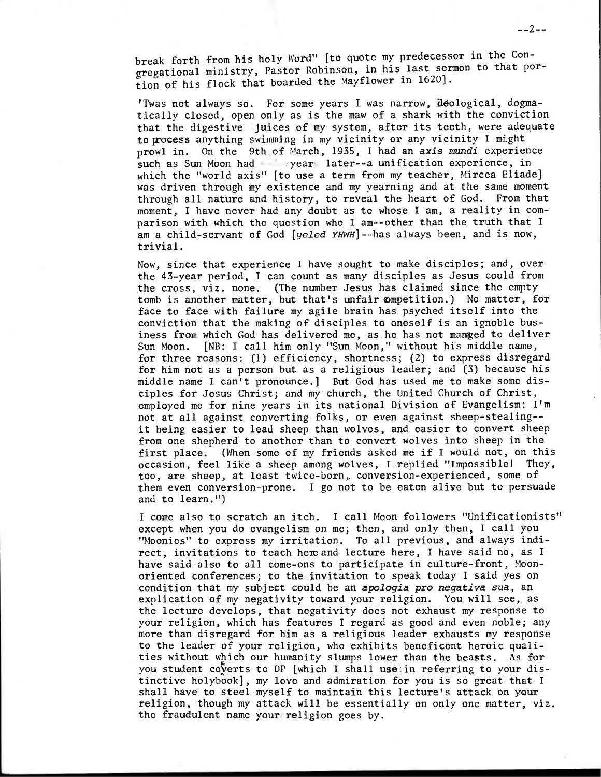break forth from his holy Word" [to quote my predecessor in the Congregational ministry, Pastor Robinson, in his last sermon to that portion of his flock that boarded the Mayflower in 1620].

'Twas not always so. For some years I was narrow, ideological, dogmatically closed, open only as is the maw of a shark with the conviction that the digestive juices of my system, after its teeth, were adequate to process anything swimming in my vicinity or any vicinity I might prowl in. On the 9th of March, 1935, I had an *axis* mundi experience such as Sun Moon had - year later--a unification experience, in which the "world axis" [to use a term from my teacher, Mircea Eliade] was driven through my existence and my yearning and at the same moment through all nature and history, to reveal the heart of God. From that moment, I have never had any doubt as to whose I am, a reality in comparison with which the question who I am--other than the truth that I am a child-servant of God [yeled YHWH]--has always been, and is now, trivial.

Now, since that experience I have sought to make disciples; and, over the 43-year period, I can count as many disciples as Jesus could from the cross, viz. none. (The number Jesus has claimed since the empty tomb is another matter, but that's unfair ompetition.) No matter, for face to face with failure my agile brain has psyched itself into the conviction that the making of disciples to oneself is an ignoble business from which God has delivered me, as he has not manged to deliver Sun Moon. [NB: I call him only "Sun Moon," without his middle name, for three reasons: (1) efficiency, shortness; (2) to express disregard for him not as a person but as a religious leader; and (3) because his middle name I can't pronounce.] But God has used me to make some disciples for Jesus Christ; and my church, the United Church of Christ, employed me for nine years in its national Division of Evangelism: I'm not at all against converting folks, or even against sheep-stealing- it being easier to lead sheep than wolves, and easier to convert sheep from one shepherd to another than to convert wolves into sheep in the first place. (When some of my friends asked me if I would not, on this occasion. feel like a sheep among wolves. I replied "Impossible! They, occasion, feel like a sheep among wolves, I replied "Impossible! too, are sheep, at least twice-born, conversion-experienced, some of them even conversion-prone. I go not to be eaten alive but to persuade and to learn.")

I come also to scratch an itch. I call Moon followers "Unificationists" except when you do evangelism on me; then, and only then, I call you "Moonies" to express my irritation. To all previous, and always indirect, invitations to teach here and lecture here, I have said no, as I have said also to all come-ons to participate in culture-front, Moonoriented conferences; to the invitation to speak today I said yes on condition that my subject could be an *apologia pro negativa sua,* an explication of my negativity toward your religion. You will see, as the lecture develops, that negativity does not exhaust my response to your religion, which has features I regard as good and even noble; any more than disregard for him as a religious leader exhausts my response to the leader of your religion, who exhibits beneficent heroic qualities without which our humanity slumps lower than the beasts. As for you student coverts to DP [which I shall uselin referring to your distinctive holybook], my love and admiration for you is so great that I shall have to steel myself to maintain this lecture's attack on your religion, though my attack will be essentially on only one matter, viz. the fraudulent name your religion goes by.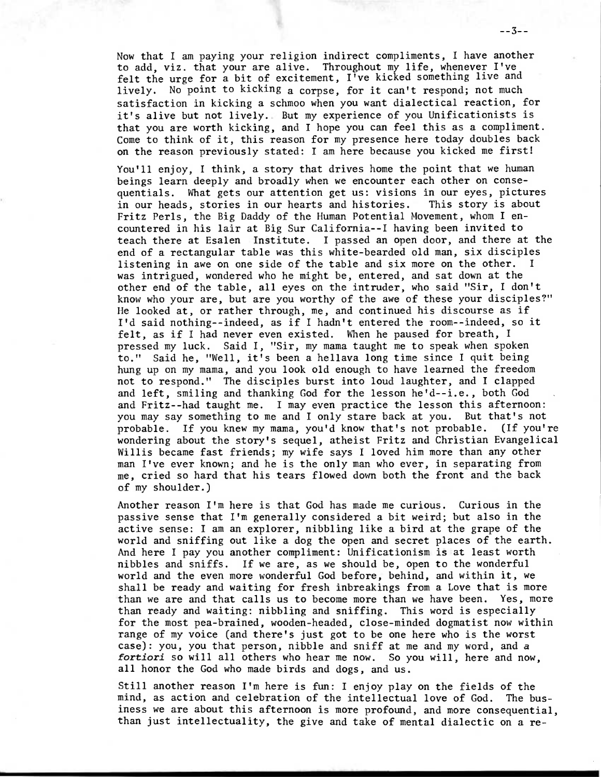Now that I am paying your religion indirect compliments, I have another to add, viz, that your are alive. Throughout my life, whenever I've felt the urge for a bit of excitement, I've kicked something live and lively. No point to kicking a corpse, for it can't respond; not much satisfaction in kicking a schmoo when you want dialectical reaction, for it's alive but not lively. But my experience of you Unificationists is that you are worth kicking, and I hope you can feel this as a compliment. Come to think of it, this reason for my presence here today doubles back on the reason previously stated: I am here because you kicked me first!

You'll enjoy, I think, a story that drives home the point that we human beings learn deeply and broadly when we encounter each other on consequentials. What gets our attention get us: visions in our eyes, pictures in our heads, stories in our hearts and histories. This story is about Fritz Perls, the Big Daddy of the Human Potential Movement, whom I encountered in his lair at Big Sur California--I having been invited to teach there at Esalen Institute. I passed an open door, and there at the end of a rectangular table was this white-bearded old man, six disciples listening in awe on one side of the table and six more on the other. I was intrigued, wondered who he might be, entered, and sat down at the other end of the table, all eyes on the intruder, who said "Sir, I don't know who your are, but are you worthy of the awe of these your disciples?" He looked at, or rather through, me, and continued his discourse as if I'd said nothing--indeed, as if I hadn't entered the room--indeed, so it felt, as if I had never even existed. When he paused for breath, I pressed my luck. Said I, "Sir, my mama taught me to speak when spoken to." Said he, "Well, it's been a hellava long time since I quit being hung up on my mama, and you look old enough to have learned the freedom not to respond." The disciples burst into loud laughter, and I clapped and left, smiling and thanking God for the lesson he'd--i.e., both God and Fritz--had taught me. I may even practice the lesson this afternoon: you may say something to me and I only stare back at you. But that's not probable. If you knew my mama, you'd know that's not probable. (If you're wondering about the story's sequel, atheist Fritz and Christian Evangelical Willis became fast friends; my wife says I loved him more than any other man I've ever known; and he is the only man who ever, in separating from me, cried so hard that his tears flowed down both the front and the back of my shoulder.)

Another reason I'm here is that God has made me curious. Curious in the passive sense that I'm generally considered a bit weird; but also in the active sense: I am an explorer, nibbling like a bird at the grape of the world and sniffing out like a dog the open and secret places of the earth. And here I pay you another compliment: Unificationism is at least worth nibbles and sniffs. If we are, as we should be, open to the wonderful world and the even more wonderful God before, behind, and within it, we shall be ready and waiting for fresh inbreakings from a Love that is more than we are and that calls us to become more than we have been. Yes, more than ready and waiting: nibbling and sniffing. This word is especially for the most pea-brained, wooden-headed, close-minded dogmatist now within range of my voice (and there's just got to be one here who is the worst case): you, you that person, nibble and sniff at me and my word, and a fortiori so will all others who hear me now. So you will, here and now, all honor the God who made birds and dogs, and us.

Still another reason I'm here is fun: I enjoy play on the fields of the mind, as action and celebration of the intellectual love of God. The business we are about this afternoon is more profound, and more consequential, than just intellectuality, the give and take of mental dialectic on a re-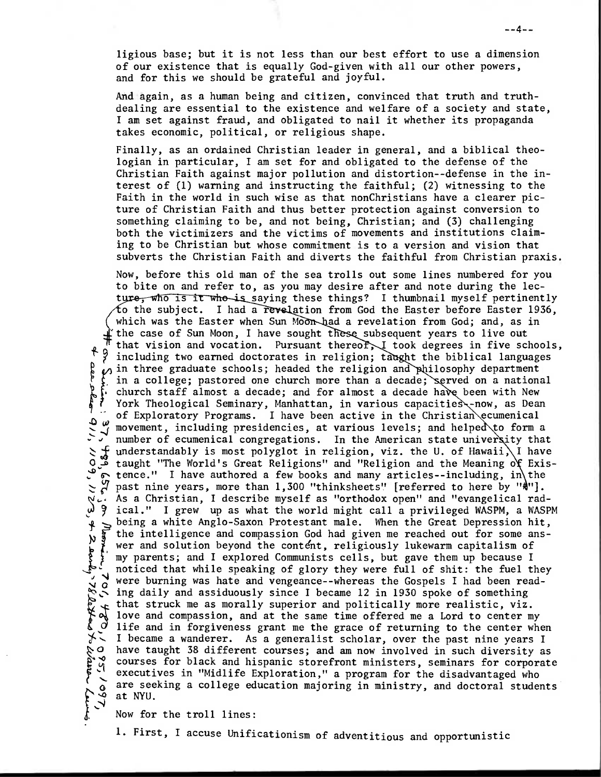ligious base; but it is not less than our best effort to use a dimension of our existence that is equally God-given with all our other powers, and for this we should be grateful and joyful.

And again, as a human being and citizen, convinced that truth and truthdealing are essential to the existence and welfare of a society and state, I am set against fraud, and obligated to nail it whether its propaganda takes economic, political, or religious shape.

Finally, as an ordained Christian leader in general, and a biblical theologian in particular, I am set for and obligated to the defense of the Christian Faith against major pollution and distortion--defense in the interest of (1) warning and instructing the faithful; (2) witnessing to the Faith in the world in such wise as that nonChristians have a clearer picture of Christian Faith and thus better protection against conversion to something claiming to be, and not being, Christian; and (3) challenging both the victimizers and the victims of movements and institutions claiming to be Christian but whose commitment is to a version and vision that subverts the Christian Faith and diverts the faithful from Christian praxis.

Now, before this old man of the sea trolls out some lines numbered for you to bite on and refer to, as you may desire after and note during the lecture, who is it who is saying these things? I thumbnail myself pertinently to the subject. I had a revelation from God the Easter before Easter 1936, which was the Easter when Sun Moon-had a revelation from God; and, as in the case of Sun Moon, I have sought these subsequent years to live out that vision and vocation. Pursuant thereof, I took degrees in five schools,  $f$  9 including two earned doctorates in religion; taught the biblical languages  $\varphi$  in three graduate schools; headed the religion and philosophy department in a college; pastored one church more than a decade; served on a national church staff almost a decade; and for almost a decade have been with New F. Church staff almost a decade; and for almost a decade nave been with New York Theological Seminary, Manhattan, in various capacities, now, as Dean<br>of Exploratory Programs. I have been active in the Christian ecumenical York Theological Seminary, Manhattan, in various capacities -now, as Dean I a number of ecumenical congregations. In the American state university that  $\sum$  of understandably is most polyglot in religion, viz. the U. of Hawaii, I have understandably is most polyglot in religion, viz. the U. of Hawaii, I have o taught "The World's Great Religions" and "Religion and the Meaning of Exis- $\circledcirc$  tence." I have authored a few books and many articles--including, in the past nine years, more than  $1,300$  "thinksheets" [referred to here by " $\frac{1}{2}$ "]. As a Christian, I describe myself as "orthodox open" and "evangelical rad-<u>(</u> 9 ical." I grew up as what the world might call a privileged WASPM, a WASPM being a white Anglo-Saxon Protestant male. When the Great Depression hit, the intelligence and compassion God had given me reached out for some ans-N § wer and solution beyond the content, religiously lukewarm capitalism of my parents; and I explored Communists cells, but gave them up because I noticed that while speaking of glory they were full of shit: the fuel they <sup>i</sup>were burning was hate and vengeance--whereas the Gospels I had been read- **N 0**  ing daily and assiduously since I became 12 in 1930 spoke of something order in 1930 spoke or something<br>that struck me as morally superior and politically more realistic, viz.<br>Not love and compassion, and at the same time offered me a Lord to center my<br> $\zeta$  life and in forgiveness grant me t  $\zeta$  that struck me as morally superior and politically more realistic, viz. life and in forgiveness grant me the grace of returning to the center when  $\checkmark$ . I became a wanderer. As a generalist scholar, over the past nine years I<br> $\checkmark$ O have taught 38 different courses; and am now involved in such diversity as<br> $\checkmark$ Courses for black and hispanic storefront ministers, s have taught 38 different courses; and am now involved in such diversity as courses for black and hispanic storefront ministers, seminars for corporate executives in "Midlife Exploration," a program for the disadvantaged who  $\delta$  are seeking a college education majoring in ministry, and doctoral students at NYU.  $\begin{bmatrix} 1 \\ 2 \\ 3 \end{bmatrix}$ 

Now for the troll lines:

þ

 $\geq$ 

 $\ddot{\textbf{r}}$ 

है Ļ,

1. First, I accuse Unificationism of adventitious and opportunistic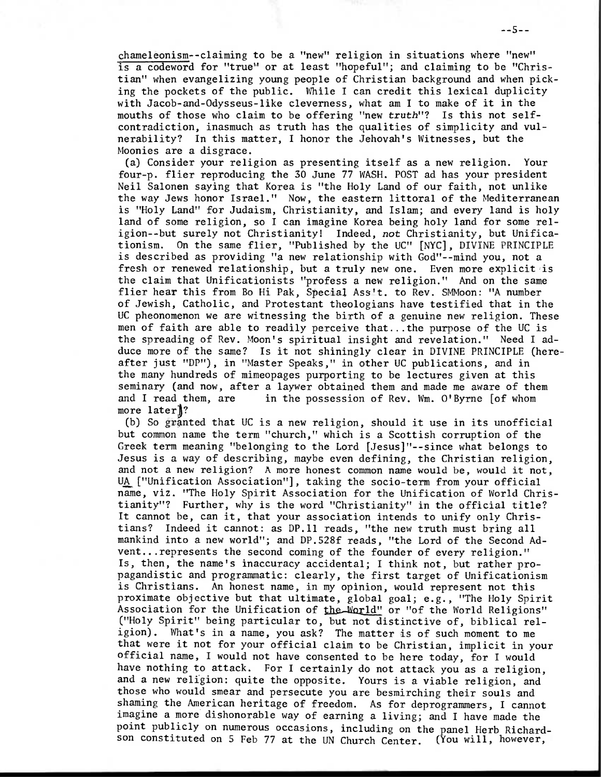chameleonism--claiming to be a "new" religion in situations where "new" is a codeword for "true" or at least "hopeful"; and claiming to be "Christian" when evangelizing young people of Christian background and when picking the pockets of the public. While I can credit this lexical duplicity with Jacob-and-Odysseus-like cleverness, what am I to make of it in the mouths of those who claim to be offering "new truth"? Is this not selfcontradiction, inasmuch as truth has the qualities of simplicity and vulnerability? In this matter, I honor the Jehovah's Witnesses, but the Moonies are a disgrace.

(a) Consider your religion as presenting itself as a new religion. Your four-p. flier reproducing the 30 June 77 WASH. POST ad has your president Neil Salonen saying that Korea is "the Holy Land of our faith, not unlike the way Jews honor Israel." Now, the eastern littoral of the Mediterranean is "Holy Land" for Judaism, Christianity, and Islam; and every land is holy land of some religion, so I can imagine Korea being holy land for some religion--but surely not Christianity! Indeed, not Christianity, but Unificationism. On the same flier, "Published by the UC" [NYC], DIVINE PRINCIPLE is described as providing "a new relationship with God"--mind you, not a fresh or renewed relationship, but a truly new one. Even more explicit is the claim that Unificationists "profess a new religion." And on the same flier hear this from Bo Hi Pak, Special Ass't. to Rev. SMMoon: "A number of Jewish, Catholic, and Protestant theologians have testified that in the UC pheonomenon we are witnessing the birth of a genuine new religion. These men of faith are able to readily perceive that...the purpose of the UC is the spreading of Rev. Moon's spiritual insight and revelation." Need I adduce more of the same? Is it not shiningly clear in DIVINE PRINCIPLE (hereafter just "DP"), in "Master Speaks," in other UC publications, and in the many hundreds of mimeopages purporting to be lectures given at this seminary (and now, after a laywer obtained them and made me aware of them and I read them, are in the possession of Rev. Wm. O'Byrne [of whom more later<sup>1</sup>?

(b) So granted that UC is a new religion, should it use in its unofficial but common name the term "church," which is a Scottish corruption of the Greek term meaning "belonging to the Lord [Jesus]"--since what belongs to Jesus is a way of describing, maybe even defining, the Christian religion, and not a new religion? A more honest common name would be, would it not, UA ["Unification Association"], taking the socio-term from your official name, viz. "The Holy Spirit Association for the Unification of World Christianity"? Further, why is the word "Christianity" in the official title? It cannot be, can it, that your association intends to unify only Christians? Indeed it cannot: as DP.11 reads, "the new truth must bring all mankind into a new world"; and DP.528f reads, "the Lord of the Second Advent...represents the second coming of the founder of every religion." Is, then, the name's inaccuracy accidental; I think not, but rather propagandistic and programmatic: clearly, the first target of Unificationism is Christians. An honest name, in my opinion, would represent not this proximate objective but that ultimate, global goal; e.g., "The Holy Spirit Association for the Unification of the World" or "of the World Religions" ("Holy Spirit" being particular to, but not distinctive of, biblical religion). What's in a name, you ask? The matter is of such moment to me that were it not for your official claim to be Christian, implicit in your official name, I would not have consented to be here today, for I would have nothing to attack. For I certainly do not attack you as a religion, and a new religion: quite the opposite. Yours is a viable religion, and those who would smear and persecute you are besmirching their souls and shaming the American heritage of freedom. As for deprogrammers, I cannot imagine a more dishonorable way of earning a living; and I have made the point publicly on numerous occasions, including on the panel Herb Richardson constituted on 5 Feb 77 at the UN Church Center. (You will, however,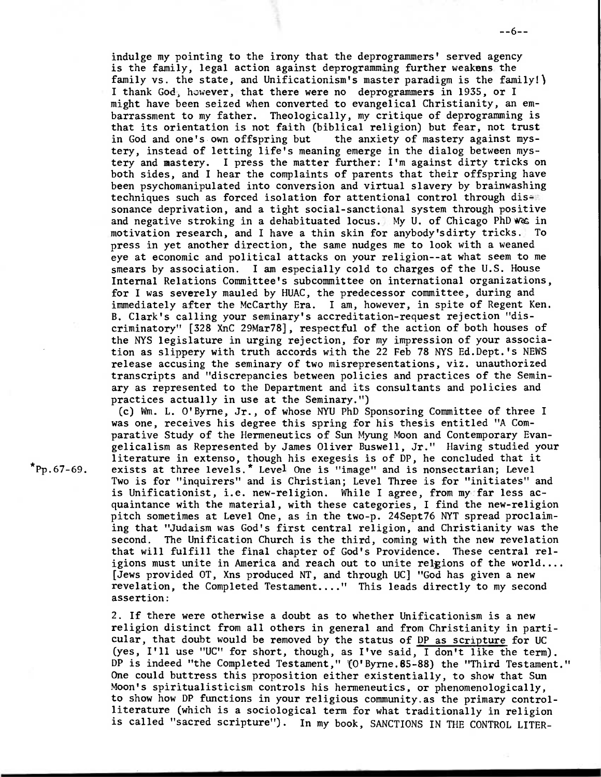indulge my pointing to the irony that the deprogrammers' served agency is the family, legal action against deprogramming further weakens the family vs. the state, and Unificationism's master paradigm is the family!) I thank God, however, that there were no deprogrammers in 1935, or I might have been seized when converted to evangelical Christianity, an embarrassment to my father. Theologically, my critique of deprogramming is that its orientation is not faith (biblical religion) but fear, not trust in God and one's own offspring but the anxiety of mastery against mystery, instead of letting life's meaning emerge in the dialog between mystery and mastery. I press the matter further: I'm against dirty tricks on both sides, and I hear the complaints of parents that their offspring have been psychomanipulated into conversion and virtual slavery by brainwashing techniques such as forced isolation for attentional control through dissonance deprivation, and a tight social-sanctional system through positive and negative stroking in a dehabituated locus. My U. of Chicago PhD was in motivation research, and I have a thin skin for anybody'sdirty tricks. To press in yet another direction, the same nudges me to look with a weaned eye at economic and political attacks on your religion--at what seem to me smears by association. I am especially cold to charges of the U.S. House Internal Relations Committee's subcommittee on international organizations, for I was severely mauled by HUAC, the predecessor committee, during and immediately after the McCarthy Era. I am, however, in spite of Regent Ken. B. Clark's calling your seminary's accreditation-request rejection "discriminatory" [328 XnC 29Mar78], respectful of the action of both houses of the NYS legislature in urging rejection, for my impression of your association as slippery with truth accords with the 22 Feb 78 NYS Ed.Dept.'s NEWS release accusing the seminary of two misrepresentations, viz, unauthorized transcripts and "discrepancies between policies and practices of the Seminary as represented to the Department and its consultants and policies and practices actually in use at the Seminary.")

(c) Wm. L. O'Byrne, Jr., of whose NYU PhD Sponsoring Committee of three I was one, receives his degree this spring for his thesis entitled "A Comparative Study of the Hermeneutics of Sun Myung Moon and Contemporary Evangelicalism as Represented by James Oliver Buswell, Jr." Having studied your literature in extenso, though his exegesis is of DP, he concluded that it  $\texttt{``Pp.67-69.}$  exists at three levels. $\texttt{``Level one is "image" and is nonsectarian; Level}$ Two is for "inquirers" and is Christian; Level Three is for "initiates" and is Unificationist, i.e. new-religion. While I agree, from my far less acquaintance with the material, with these categories, I find the new-religion pitch sometimes at Level One, as in the two-p. 24Sept76 NYT spread proclaiming that "Judaism was God's first central religion, and Christianity was the second. The Unification Church is the third, coming with the new revelation that will fulfill the final chapter of God's Providence. These central religions must unite in America and reach out to unite relgions of the world.... [Jews provided OT, Xns produced NT, and through UC] "God has given a new revelation, the Completed Testament...." This leads directly to my second assertion:

> 2. If there were otherwise a doubt as to whether Unificationism is a new religion distinct from all others in general and from Christianity in particular, that doubt would be removed by the status of DP as scripture for UC (yes, I'll use "UC" for short, though, as I've said, I don't like the term). DP is indeed "the Completed Testament," (O'Byrne.85-88) the "Third Testament." One could buttress this proposition either existentially, to show that Sun Moon's spiritualisticism controls his hermeneutics, or phenomenologically, to show how DP functions in your religious community.as the primary controlliterature (which is a sociological term for what traditionally in religion is called "sacred scripture"). In my book, SANCTIONS IN THE CONTROL LITER-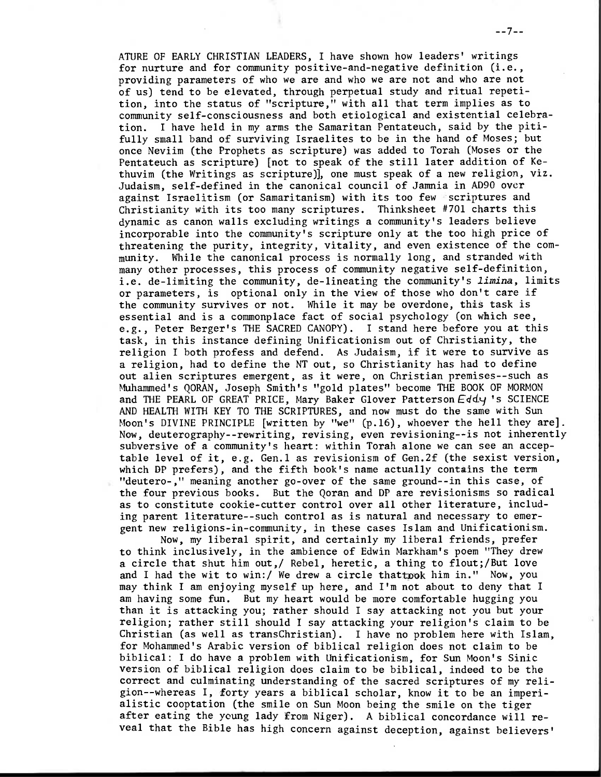ATURE OF EARLY CHRISTIAN LEADERS, I have shown how leaders' writings for nurture and for community positive-and-negative definition (i.e., providing parameters of who we are and who we are not and who are not of us) tend to be elevated, through perpetual study and ritual repetition, into the status of "scripture," with all that term implies as to community self-consciousness and both etiological and existential celebration. I have held in my arms the Samaritan Pentateuch, said by the pitifully small band of surviving Israelites to be in the hand of Moses; but once Neviim (the Prophets as scripture) was added to Torah (Moses or the Pentateuch as scripture) [not to speak of the still later addition of Kethuvim (the Writings as scripture)], one must speak of a new religion, viz. Judaism, self-defined in the canonical council of Jamnia in AD90 over against Israelitism (or Samaritanism) with its too few scriptures and Christianity with its too many scriptures. Thinksheet #701 charts this dynamic as canon walls excluding writings a community's leaders believe incorporable into the community's scripture only at the too high price of threatening the purity, integrity, vitality, and even existence of the community. While the canonical process is normally long, and stranded with many other processes, this process of community negative self-definition, i.e. de-limiting the community, de-lineating the community's limina, limits or parameters, is optional only in the view of those who don't care if the community survives or not. While it may be overdone, this task is essential and is a commonplace fact of social psychology (on which see, e.g., Peter Berger's THE SACRED CANOPY). I stand here before you at this task, in this instance defining Unificationism out of Christianity, the religion I both profess and defend. As Judaism, if it were to survive as a religion, had to define the NT out, so Christianity has had to define out alien scriptures emergent, as it were, on Christian premises--such as Muhammed's QORAN, Joseph Smith's "gold plates" become THE BOOK OF MORMON and THE PEARL OF GREAT PRICE, Mary Baker Glover Patterson  $Eddy$  's SCIENCE AND HEALTH WITH KEY TO THE SCRIPTURES, and now must do the same with Sun Moon's DIVINE PRINCIPLE [written by "we" (p.16), whoever the hell they are]. Now, deuterography--rewriting, revising, even revisioning--is not inherently subversive of a community's heart: within Torah alone we can see an acceptable level of it, e.g. Gen.1 as revisionism of Gen.2f (the sexist version, which DP prefers), and the fifth book's name actually contains the term "deutero-," meaning another go-over of the same ground--in this case, of the four previous books. But the Qoran and DP are revisionisms so radical as to constitute cookie-cutter control over all other literature, including parent literature--such control as is natural and necessary to emergent new religions-in-community, in these cases Islam and Unificationism.

Now, my liberal spirit, and certainly my liberal friends, prefer to think inclusively, in the ambience of Edwin Markham's poem "They drew a circle that shut him out,/ Rebel, heretic, a thing to flout;/But love and I had the wit to win:/ We drew a circle thattpok him in." Now, you may think I am enjoying myself up here, and I'm not about to deny that I am having some fun. But my heart would be more comfortable hugging you than it is attacking you; rather should I say attacking not you but your religion; rather still should I say attacking your religion's claim to be Christian (as well as transChristian). I have no problem here with Islam, for Mohammed's Arabic version of biblical religion does not claim to be biblical: I do have a problem with Unificationism, for Sun Moon's Sinic version of biblical religion does claim to be biblical, indeed to be the correct and culminating understanding of the sacred scriptures of my religion--whereas I, forty years a biblical scholar, know it to be an imperialistic cooptation (the smile on Sun Moon being the smile on the tiger after eating the young lady from Niger). A biblical concordance will reveal that the Bible has high concern against deception, against believers'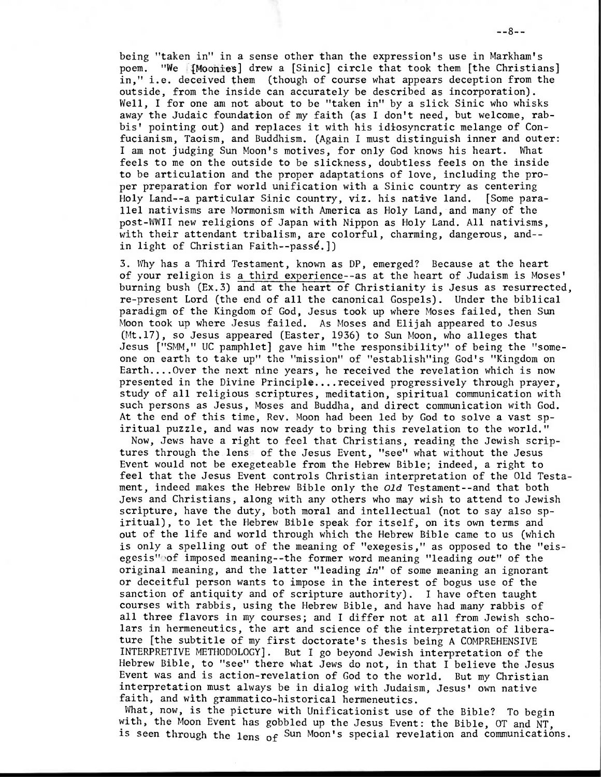being "taken in" in a sense other than the expression's use in Markham's poem. "We [Moohies] drew a [Sinic] circle that took them [the Christians] in," i.e. deceived them (though of course what appears deception from the outside, from the inside can accurately be described as incorporation). Well, I for one am not about to be "taken in" by a slick Sinic who whisks away the Judaic foundation of my faith (as I don't need, but welcome, rabbis' pointing out) and replaces it with his idiosyncratic melange of Confucianism, Taoism, and Buddhism. (Again I must distinguish inner and outer: I am not judging Sun Moon's motives, for only God knows his heart. What feels to me on the outside to be slickness, doubtless feels on the inside to be articulation and the proper adaptations of love, including the proper preparation for world unification with a Sinic country as centering Holy Land--a particular Sinic country, viz, his native land. [Some parallel nativisms are Mormonism with America as Holy Land, and many of the post-WWII new religions of Japan with Nippon as Holy Land. All nativisms, with their attendant tribalism, are colorful, charming, dangerous, and- in light of Christian Faith--pass4.])

3. Why has a Third Testament, known as DP, emerged? Because at the heart of your religion is a third experience--as at the heart of Judaism is Moses' burning bush (Ex.3) and at the heart of Christianity is Jesus as resurrected, re-present Lord (the end of all the canonical Gospels). Under the biblical paradigm of the Kingdom of God, Jesus took up where Moses failed, then Sun Moon took up where Jesus failed. As Moses and Elijah appeared to Jesus (Mt.17), so Jesus appeared (Easter, 1936) to Sun Moon, who alleges that Jesus ["SMM," UC pamphlet] gave him "the responsibility" of being the "someone on earth to take up" the "mission" of "establish"ing God's "Kingdom on Earth....Over the next nine years, he received the revelation which is now presented in the Divine Principle....received progressively through prayer, study of all religious scriptures, meditation, spiritual communication with such persons as Jesus, Moses and Buddha, and direct communication with God. At the end of this time, Rev. Moon had been led by God to solve a vast spiritual puzzle, and was now ready to bring this revelation to the world."

Now, Jews have a right to feel that Christians, reading the Jewish scriptures through the lens of the Jesus Event, "see" what without the Jesus Event would not be exegeteable from the Hebrew Bible; indeed, a right to feel that the Jesus Event controls Christian interpretation of the Old Testament, indeed makes the Hebrew Bible only the Old Testament--and that both Jews and Christians, along with any others who may wish to attend to Jewish scripture, have the duty, both moral and intellectual (not to say also spiritual), to let the Hebrew Bible speak for itself, on its own terms and out of the life and world through which the Hebrew Bible came to us (which is only a spelling out of the meaning of "exegesis," as opposed to the "eisegesis" of imposed meaning--the former word meaning "leading out" of the original meaning, and the latter "leading in" of some meaning an ignorant or deceitful person wants to impose in the interest of bogus use of the sanction of antiquity and of scripture authority). I have often taught courses with rabbis, using the Hebrew Bible, and have had many rabbis of all three flavors in my courses; and I differ not at all from Jewish scholars in hermeneutics, the art and science of the interpretation of liberature [the subtitle of my first doctorate's thesis being A COMPREHENSIVE INTERPRETIVE METHODOLOGY]. But I go beyond Jewish interpretation of the Hebrew Bible, to "see" there what Jews do not, in that I believe the Jesus Event was and is action-revelation of God to the world. But my Christian interpretation must always be in dialog with Judaism, Jesus' own native faith, and with grammatico-historical hermeneutics.

What, now, is the picture with Unificationist use of the Bible? To begin with, the Moon Event has gobbled up the Jesus Event: the Bible, OT and NT, is seen through the lens of Sun Moon's special revelation and communications.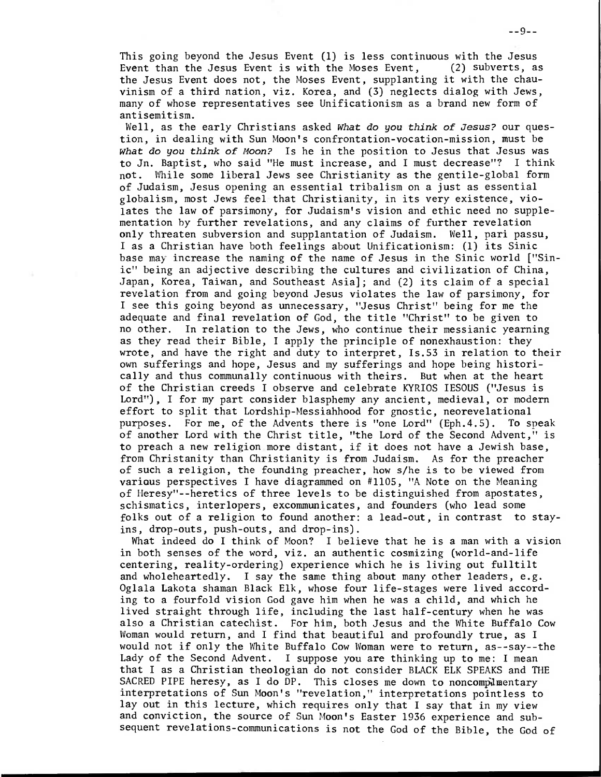This going beyond the Jesus Event (1) is less continuous with the Jesus Event than the Jesus Event is with the Moses Event, (2) subverts, as the Jesus Event does not, the Moses Event, supplanting it with the chauvinism of a third nation, viz. Korea, and (3) neglects dialog with Jews, many of whose representatives see Unificationism as a brand new form of antisemitism.

Well, as the early Christians asked What do you think of Jesus? our question, in dealing with Sun Moon's confrontation-vocation-mission, must be What do you think of Moon? Is he in the position to Jesus that Jesus was to Jn. Baptist, who said "He must increase, and I must decrease"? I think not. While some liberal Jews see Christianity as the gentile-global form of Judaism, Jesus opening an essential tribalism on a just as essential globalism, most Jews feel that Christianity, in its very existence, violates the law of parsimony, for Judaism's vision and ethic need no supplementation by further revelations, and any claims of further revelation only threaten subversion and supplantation of Judaism. Well, pari passu, I as a Christian have both feelings about Unificationism: (1) its Sinic base may increase the naming of the name of Jesus in the Sinic world ["Sinic" being an adjective describing the cultures and civilization of China, Japan, Korea, Taiwan, and Southeast Asia]; and (2) its claim of a special revelation from and going beyond Jesus violates the law of parsimony, for I see this going beyond as unnecessary, "Jesus Christ" being for me the adequate and final revelation of God, the title "Christ" to be given to no other. In relation to the Jews, who continue their messianic yearning as they read their Bible, I apply the principle of nonexhaustion: they wrote, and have the right and duty to interpret, Is.53 in relation to their own sufferings and hope, Jesus and my sufferings and hope being historically and thus communally continuous with theirs. But when at the heart of the Christian creeds I observe and celebrate KYRIOS IESOUS ("Jesus is Lord"), I for my part consider blasphemy any ancient, medieval, or modern effort to split that Lordship-Messiahhood for gnostic, neorevelational purposes. For me, of the Advents there is "one Lord" (Eph.4.5). To speak of another Lord with the Christ title, "the Lord of the Second Advent," is to preach a new religion more distant, if it does not have a Jewish base, from Christanity than Christianity is from Judaism. As for the preacher of such a religion, the founding preacher, how s/he is to be viewed from various perspectives I have diagrammed on #1105, "A Note on the Meaning of Heresy"--heretics of three levels to be distinguished from apostates, schismatics, interlopers, excommunicates, and founders (who lead some folks out of a religion to found another: a lead-out, in contrast to stayins, drop-outs, push-outs, and drop-ins).

What indeed do I think of Moon? I believe that he is a man with a vision in both senses of the word, viz, an authentic cosmizing (world-and-life centering, reality-ordering) experience which he is living out fulltilt and wholeheartedly. I say the same thing about many other leaders, e.g. Oglala Lakota shaman Black Elk, whose four life-stages were lived according to a fourfold vision God gave him when he was a child, and which he lived straight through life, including the last half-century when he was also a Christian catechist. For him, both Jesus and the White Buffalo Cow Woman would return, and I find that beautiful and profoundly true, as I would not if only the White Buffalo Cow Woman were to return, as--say--the Lady of the Second Advent. I suppose you are thinking up to me: I mean that I as a Christian theologian do not consider BLACK ELK SPEAKS and THE SACRED PIPE heresy, as I do DP. This closes me down to noncomplementary interpretations of Sun Moon's "revelation," interpretations pointless to lay out in this lecture, which requires only that I say that in my view and conviction, the source of Sun Moon's Easter 1936 experience and subsequent revelations-communications is not the God of the Bible, the God of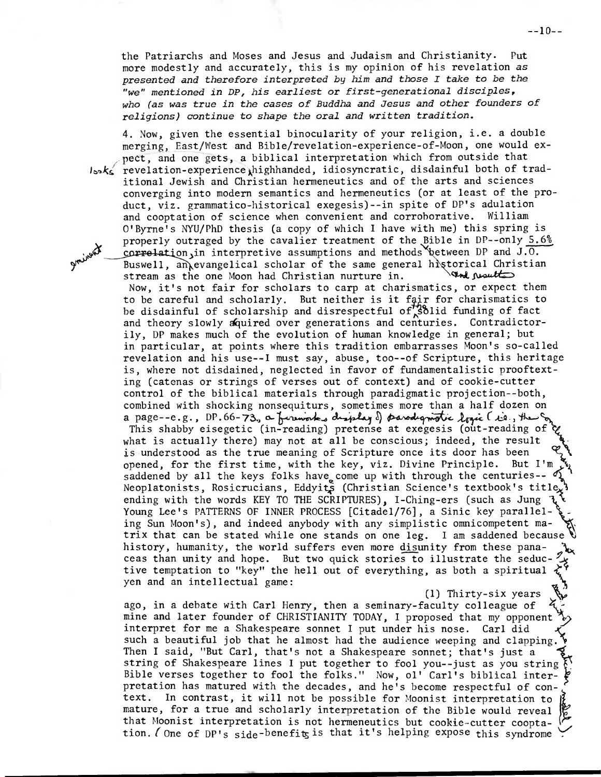the Patriarchs and Moses and Jesus and Judaism and Christianity. Put more modestly and accurately, this is my opinion of his revelation as presented and therefore interpreted by him and those I take to be the "we" mentioned in DP, his earliest or first-generational disciples, who (as was true in the cases of Buddha and Jesus and other founders of religions) continue to shape the oral and written tradition.

4. Now, given the essential binocularity of your religion, i.e. a double merging, East/West and Bible/revelation-experience-of-Moon, one would expect, and one gets, a biblical interpretation which from outside that IsoK /  $\zeta$  revelation-experience highhanded, idiosyncratic, disdainful both of trad itional Jewish and Christian hermeneutics and of the arts and sciences converging into modern semantics and hermeneutics (or at least of the product, viz. grammatico-historical exegesis)--in spite of DP's adulation and cooptation of science when convenient and corroborative. William O'Byrne's NYU/PhD thesis (a copy of which I have with me) this spring is properly outraged by the cavalier treatment of the Bible in DP--only 5.6% correlation, in interpretive assumptions and methods between DP and  $J.O.$ Buswell, an evangelical scholar of the same general historical Christian stream as the one Moon had Christian nurture in.  $\mathbb{R}$  Nearly Now, it's not fair for scholars to carp at charismatics, or expect them to be careful and scholarly. But neither is it fair for charismatics to be disdainful of scholarship and disrespectful of  $\frac{400}{80}$ lid funding of fact and theory slowly aquired over generations and centuries. Contradictorily, DP makes much of the evolution of human knowledge in general; but in particular, at points where this tradition embarrasses Moon's so-called revelation and his use--I must say, abuse, too--of Scripture, this heritage is, where not disdained, neglected in favor of fundamentalistic prooftexting (catenas or strings of verses out of context) and of cookie-cutter control of the biblical materials through paradigmatic projection--both, combined with shocking nonsequiturs, sometimes more than a half dozen on a page--e.g., DP.66-73, a fureworks display  $\delta$  parodignotic logic (is., the This shabby eisegetic (in-reading) pretense at exegesis (out-reading of what is actually there) may not at all be conscious; indeed, the result is understood as the true meaning of Scripture once its door has been opened, for the first time, with the key, viz. Divine Principle. But I'm saddened by all the keys folks have come up with through the centuries--Neoplatonists, Rosicrucians, Eddyits (Christian Science's textbook's title, ending with the words KEY TO THE SCRIPTURES), I-Ching-ers (such as Jung  $\mathcal{F}_0$ Young Lee's PATTERNS OF INNER PROCESS [Citade1/76], a Sinic key paralleling Sun Moon's), and indeed anybody with any simplistic omnicompetent matrix that can be stated while one stands on one leg. I am saddened because history, humanity, the world suffers even more disunity from these panaceas than unity and hope. But two quick stories to illustrate the seductive temptation to "key" the hell out of everything, as both a spiritual yen and an intellectual game:

(1) Thirty-six years

ago, in a debate with Carl Henry, then a seminary-faculty colleague of mine and later founder of CHRISTIANITY TODAY, I proposed that my opponent interpret for me a Shakespeare sonnet I put under his nose. Carl did such a beautiful job that he almost had the audience weeping and clapping. Then I said, "But Carl, that's not a Shakespeare sonnet; that's just a string of Shakespeare lines I put together to fool you--just as you string Bible verses together to fool the folks." Now, ol' Carl's biblical interpretation has matured with the decades, and he's become respectful of context. In contrast, it will not be possible for Moonist interpretation to mature, for a true and scholarly interpretation of the Bible would reveal that Moonist interpretation is not hermeneutics but cookie-cutter cooptation. ( One of DP's side-benefits is that it's helping expose this syndrome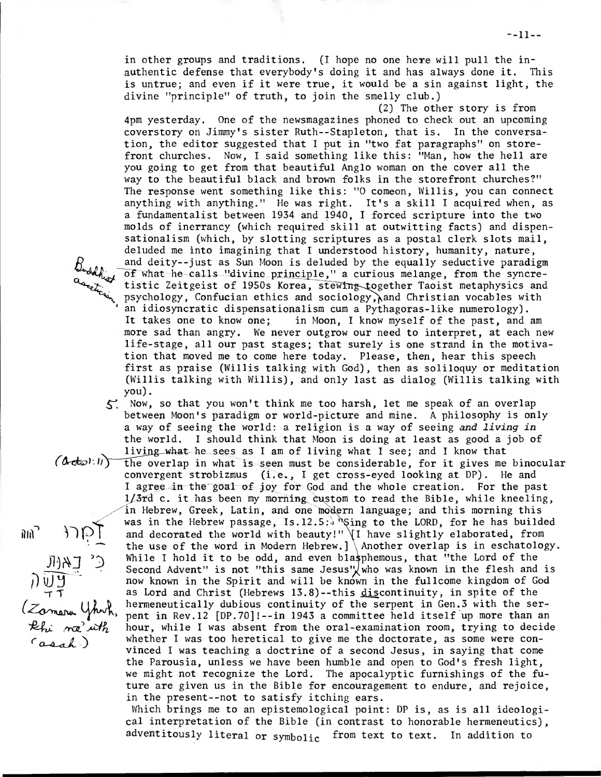in other groups and traditions. (I hope no one here will pull the inauthentic defense that everybody's doing it and has always done it. This is untrue; and even if it were true, it would be a sin against light, the divine "principle" of truth, to join the smelly club.)

(2) The other story is from 4pm yesterday. One of the newsmagazines phoned to check out an upcoming coverstory on Jimmy's sister Ruth--Stapleton, that is. In the conversation, the editor suggested that I put in "two fat paragraphs" on storefront churches. Now, I said something like this: "Man, how the hell are you going to get from that beautiful Anglo woman on the cover all the way to the beautiful black and brown folks in the storefront churches?" The response went something like this: "0 comeon, Willis, you can connect anything with anything." He was right. It's a skill I acquired when, as a fundamentalist between 1934 and 1940, I forced scripture into the two molds of inerrancy (which required skill at outwitting facts) and dispensationalism (which, by slotting scriptures as a postal clerk slots mail, deluded me into imagining that I understood history, humanity, nature, and deity--just as Sun Moon is deluded by the equally seductive paradigm of what he calls "divine principle," a curious melange, from the syncretistic Zeitgeist of 1950s Korea, stewing together Taoist metaphysics and psychology, Confucian ethics and sociology, and Christian vocables with an idiosyncratic dispensationalism cum a Pythagoras-like numerology). It takes one to know one; in Moon, I know myself of the past, and am more sad than angry. We never outgrow our need to interpret, at each new life-stage, all our past stages; that surely is one strand in the motivation that moved me to come here today. Please, then, hear this speech first as praise (Willis talking with God), then as soliloquy or meditation (Willis talking with Willis), and only last as dialog (Willis talking with you).

Buddhist -

 $\mathfrak{M}$ <sup>2</sup>

- $5$ . Now, so that you won't think me too harsh, let me speak of an overlap between Moon's paradigm or world-picture and mine. A philosophy is only a way of seeing the world: a religion is a way of seeing and living in the world. I should think that Moon is doing at least as good a job of liying\_what he sees as I am of living what I see; and I know that
- $\overline{\mathcal{L}}$  ,  $\overline{\mathcal{L}}$  ,  $\overline{\mathcal{L}}$  $m\bar{\alpha}$  . Al $h$  $(0$   $\sigma$  $\in$   $\mathbb{R}$  the overlap in what is seen must be considerable, for it gives me binocular convergent strobizmus (i.e., I get cross-eyed looking at DP). He and I agree in the goal of joy for God and the whole creation. For the past  $1/3$ rd c. it has been my morning custom to read the Bible, while kneeling, in Hebrew, Greek, Latin, and one modern language; and this morning this was in the Hebrew passage, Is.12.5:  $\frac{1}{3}$  is the LORD, for he has builded and decorated the world with beauty!"  $\left\{ \right\}$  have slightly elaborated, from the use of the word in Modern Hebrew.]  $\Lambda$  Another overlap is in eschatology. While I hold it to be odd, and even blasphemous, that "the Lord of the Second Advent" is not "this same Jesus" who was known in the flesh and is now known in the Spirit and will be known in the fullcome kingdom of God as Lord and Christ (Hebrews 13.8)--this discontinuity, in spite of the hermeneutically dubious continuity of the serpent in Gen.3 with the serpent in Rev.12 [DP.70]!--in 1943 a committee held itself up more than an hour, while I was absent from the oral-examination room, trying to decide whether I was too heretical to give me the doctorate, as some were convinced I was teaching a doctrine of a second Jesus, in saying that come the Parousia, unless we have been humble and open to God's fresh light, we might not recognize the Lord. The apocalyptic furnishings of the future are given us in the Bible for encouragement to endure, and rejoice, in the present--not to satisfy itching ears.

Which brings me to an epistemological point: DP is, as is all ideological interpretation of the Bible (in contrast to honorable hermeneutics), adventitously literal or symbolic from text to text. In addition to